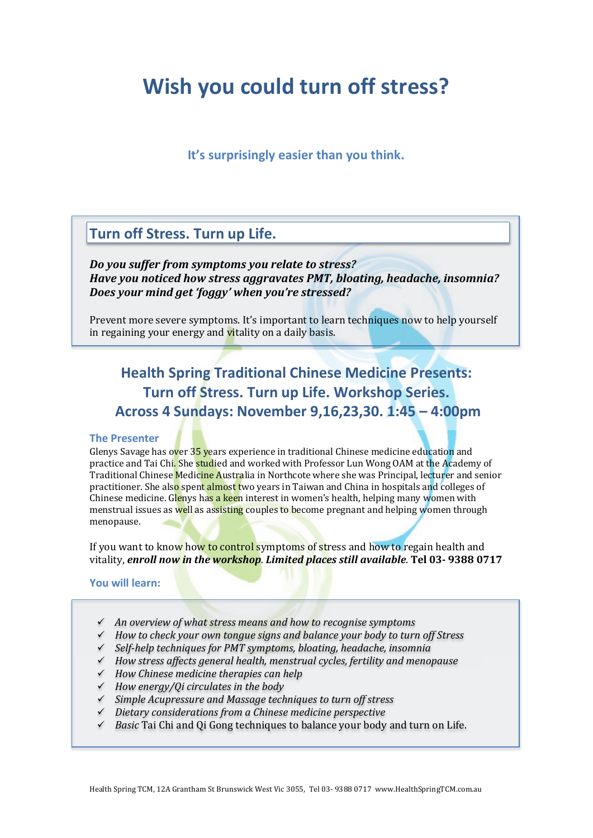# **Wish you could turn off stress?**

### **It's surprisingly easier than you think.**

# **Turn off Stress. Turn up Life.**

*Do you suffer from symptoms you relate to stress? Have you noticed how stress aggravates PMT, bloating, headache, insomnia? Does your mind get 'foggy' when you're stressed?*

Prevent more severe symptoms. It's important to learn techniques now to help yourself in regaining your energy and vitality on a daily basis.

# **Health Spring Traditional Chinese Medicine Presents: Turn off Stress. Turn up Life. Workshop Series. Across 4 Sundays: November 9,16,23,30. 1:45 – 4:00pm**

#### **The Presenter**

Glenys Savage has over 35 years experience in traditional Chinese medicine education and practice and Tai Chi. She studied and worked with Professor Lun Wong OAM at the Academy of Traditional Chinese Medicine Australia in Northcote where she was Principal, lecturer and senior practitioner. She also spent almost two years in Taiwan and China in hospitals and colleges of Chinese medicine. Glenys has a keen interest in women's health, helping many women with menstrual issues as well as assisting couples to become pregnant and helping women through menopause.

If you want to know how to control symptoms of stress and how to regain health and vitality, *enroll now in the workshop. Limited places still available*. **Tel 03- 9388 0717**

#### **You will learn:**

- *An overview of what stress means and how to recognise symptoms*
- *How to check your own tongue signs and balance your body to turn off Stress*
- *Self-help techniques for PMT symptoms, bloating, headache, insomnia*
- *How stress affects general health, menstrual cycles, fertility and menopause*
- *How Chinese medicine therapies can help*
- *How energy/Qi circulates in the body*
- *Simple Acupressure and Massage techniques to turn off stress*
- *Dietary considerations from a Chinese medicine perspective*
- *Basic* Tai Chi and Qi Gong techniques to balance your body and turn on Life.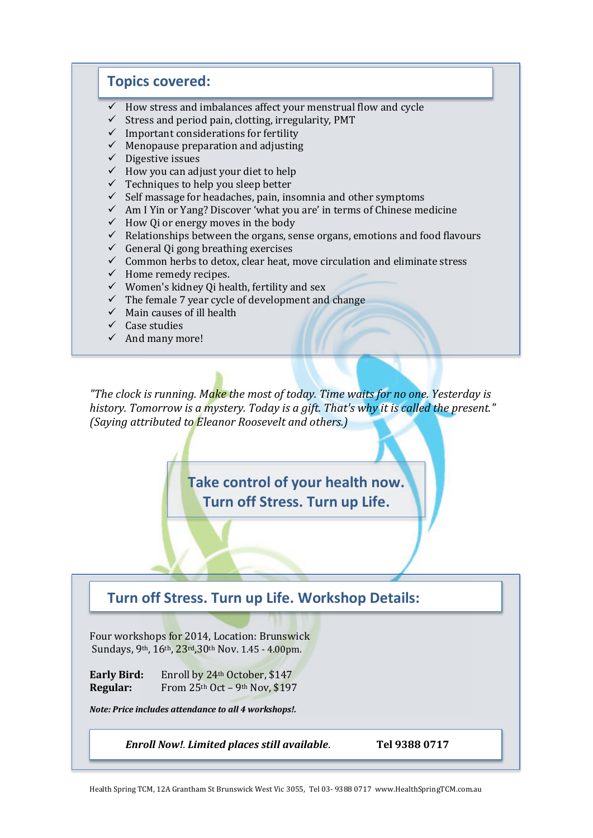### **Topics covered:**

- $\checkmark$  How stress and imbalances affect your menstrual flow and cycle
- $\checkmark$  Stress and period pain, clotting, irregularity, PMT
- $\checkmark$  Important considerations for fertility
- $\checkmark$  Menopause preparation and adjusting
- $\checkmark$  Digestive issues
- $\checkmark$  How you can adjust your diet to help
- $\checkmark$  Techniques to help you sleep better
- $\checkmark$  Self massage for headaches, pain, insomnia and other symptoms
- $\checkmark$  Am I Yin or Yang? Discover 'what you are' in terms of Chinese medicine
- $\checkmark$  How Q i or energy moves in the body
- $\checkmark$  Relationships between the organs, sense organs, emotions and food flavours
- $\checkmark$  General Qi gong breathing exercises
- $\checkmark$  Common herbs to detox, clear heat, move circulation and eliminate stress
- $\checkmark$  Home remedy recipes.
- $\checkmark$  Women's kidney Qi health, fertility and sex
- $\checkmark$  The female 7 year cycle of development and change
- $\checkmark$  Main causes of ill health
- $\checkmark$  Case studies
- $\checkmark$  And many more!

*"The clock is running. Make the most of today. Time waits for no one. Yesterday is history. Tomorrow is a mystery. Today is a gift. That's why it is called the present." (Saying attributed to Eleanor Roosevelt and others.)*

> **Take control of your health now. Turn off Stress. Turn up Life.**

## **Turn off Stress. Turn up Life. Workshop Details:**

Four workshops for 2014, Location: Brunswick Sundays, 9th, 16th, 23rd,30th Nov. 1.45 - 4.00pm.

Early Bird: Enroll by 24<sup>th</sup> October, \$147 **Regular:** From 25th Oct – 9th Nov, \$197

*Note: Price includes attendance to all 4 workshops!.*

*Enroll Now!. Limited places still available*. **Tel 9388 0717**

Health Spring TCM, 12A Grantham St Brunswick West Vic 3055, Tel 03- 9388 0717 www.HealthSpringTCM.com.au